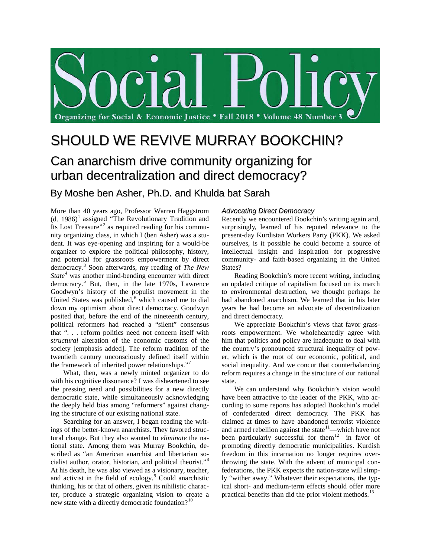

# SHOULD WE REVIVE MURRAY BOOKCHIN?

# Can anarchism drive community organizing for urban decentralization and direct democracy?

By Moshe ben Asher, Ph.D. and Khulda bat Sarah

More than 40 years ago, Professor Warren Haggstrom  $(d. 1986)^1$  $(d. 1986)^1$  $(d. 1986)^1$  assigned "The Revolutionary Tradition and Its Lost Treasure"<sup>[2](#page-4-1)</sup> as required reading for his community organizing class, in which I (ben Asher) was a student. It was eye-opening and inspiring for a would-be organizer to explore the political philosophy, history, and potential for grassroots empowerment by direct democracy. [3](#page-4-2) Soon afterwards, my reading of *The New State*<sup>[4](#page-4-3)</sup> was another mind-bending encounter with direct democracy. [5](#page-4-4) But, then, in the late 1970s, Lawrence Goodwyn's history of the populist movement in the United States was published, $6$  which caused me to dial down my optimism about direct democracy. Goodwyn posited that, before the end of the nineteenth century, political reformers had reached a "silent" consensus that ". . . reform politics need not concern itself with *structural* alteration of the economic customs of the society [emphasis added]. The reform tradition of the twentieth century unconsciously defined itself within the framework of inherited power relationships."<sup>[7](#page-4-6)</sup>

What, then, was a newly minted organizer to do with his cognitive dissonance? I was disheartened to see the pressing need and possibilities for a new directly democratic state, while simultaneously acknowledging the deeply held bias among "reformers" against changing the structure of our existing national state.

Searching for an answer, I began reading the writings of the better-known anarchists. They favored structural change. But they also wanted to *eliminate* the national state. Among them was Murray Bookchin, described as "an American anarchist and libertarian socialist author, orator, historian, and political theorist."[8](#page-4-7) At his death, he was also viewed as a visionary, teacher, and activist in the field of ecology. [9](#page-4-8) Could anarchistic thinking, his or that of others, given its nihilistic character, produce a strategic organizing vision to create a new state with a directly democratic foundation?<sup>[10](#page-4-9)</sup>

## *Advocating Direct Democracy*

Recently we encountered Bookchin's writing again and, surprisingly, learned of his reputed relevance to the present-day Kurdistan Workers Party (PKK). We asked ourselves, is it possible he could become a source of intellectual insight and inspiration for progressive community- and faith-based organizing in the United States?

Reading Bookchin's more recent writing, including an updated critique of capitalism focused on its march to environmental destruction, we thought perhaps he had abandoned anarchism. We learned that in his later years he had become an advocate of decentralization and direct democracy.

We appreciate Bookchin's views that favor grassroots empowerment. We wholeheartedly agree with him that politics and policy are inadequate to deal with the country's pronounced structural inequality of power, which is the root of our economic, political, and social inequality. And we concur that counterbalancing reform requires a change in the structure of our national state.

We can understand why Bookchin's vision would have been attractive to the leader of the PKK, who according to some reports has adopted Bookchin's model of confederated direct democracy. The PKK has claimed at times to have abandoned terrorist violence and armed rebellion against the state $11$ —which have not been particularly successful for them<sup>12</sup>—in favor of promoting directly democratic municipalities. Kurdish freedom in this incarnation no longer requires overthrowing the state. With the advent of municipal confederations, the PKK expects the nation-state will simply "wither away." Whatever their expectations, the typical short- and medium-term effects should offer more practical benefits than did the prior violent methods.<sup>[13](#page-5-2)</sup>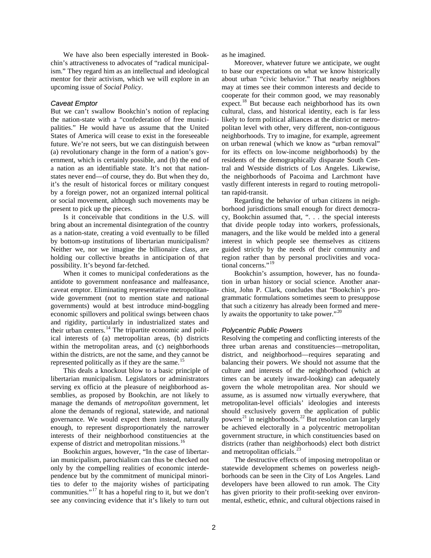We have also been especially interested in Bookchin's attractiveness to advocates of "radical municipalism." They regard him as an intellectual and ideological mentor for their activism, which we will explore in an upcoming issue of *Social Policy*.

#### *Caveat Emptor*

But we can't swallow Bookchin's notion of replacing the nation-state with a "confederation of free municipalities." He would have us assume that the United States of America will cease to exist in the foreseeable future. We're not seers, but we can distinguish between (a) revolutionary change in the form of a nation's government, which is certainly possible, and (b) the end of a nation as an identifiable state. It's not that nationstates never end—of course, they do. But when they do, it's the result of historical forces or military conquest by a foreign power, not an organized internal political or social movement, although such movements may be present to pick up the pieces.

Is it conceivable that conditions in the U.S. will bring about an incremental disintegration of the country as a nation-state, creating a void eventually to be filled by bottom-up institutions of libertarian municipalism? Neither we, nor we imagine the billionaire class, are holding our collective breaths in anticipation of that possibility. It's beyond far-fetched.

When it comes to municipal confederations as the antidote to government nonfeasance and malfeasance, caveat emptor. Eliminating representative metropolitanwide government (not to mention state and national governments) would at best introduce mind-boggling economic spillovers and political swings between chaos and rigidity, particularly in industrialized states and their urban centers.<sup>[14](#page-6-0)</sup> The tripartite economic and political interests of (a) metropolitan areas, (b) districts within the metropolitan areas, and (c) neighborhoods within the districts, are not the same, and they cannot be represented politically as if they are the same.<sup>[15](#page-6-1)</sup>

This deals a knockout blow to a basic principle of libertarian municipalism. Legislators or administrators serving ex officio at the pleasure of neighborhood assemblies, as proposed by Bookchin, are not likely to manage the demands of *metropolitan* government, let alone the demands of regional, statewide, and national governance. We would expect them instead, naturally enough, to represent disproportionately the narrower interests of their neighborhood constituencies at the expense of district and metropolitan missions.<sup>[16](#page-6-2)</sup>

Bookchin argues, however, "In the case of libertarian municipalism, parochialism can thus be checked not only by the compelling realities of economic interdependence but by the commitment of municipal minorities to defer to the majority wishes of participating communities."[17](#page-6-3) It has a hopeful ring to it, but we don't see any convincing evidence that it's likely to turn out as he imagined.

Moreover, whatever future we anticipate, we ought to base our expectations on what we know historically about urban "civic behavior." That nearby neighbors may at times see their common interests and decide to cooperate for their common good, we may reasonably expect.<sup>[18](#page-6-4)</sup> But because each neighborhood has its own cultural, class, and historical identity, each is far less likely to form political alliances at the district or metropolitan level with other, very different, non-contiguous neighborhoods. Try to imagine, for example, agreement on urban renewal (which we know as "urban removal" for its effects on low-income neighborhoods) by the residents of the demographically disparate South Central and Westside districts of Los Angeles. Likewise, the neighborhoods of Pacoima and Larchmont have vastly different interests in regard to routing metropolitan rapid-transit.

Regarding the behavior of urban citizens in neighborhood jurisdictions small enough for direct democracy, Bookchin assumed that, ". . . the special interests that divide people today into workers, professionals, managers, and the like would be melded into a general interest in which people see themselves as citizens guided strictly by the needs of their community and region rather than by personal proclivities and voca-tional concerns."<sup>[19](#page-6-5)</sup>

Bookchin's assumption, however, has no foundation in urban history or social science. Another anarchist, John P. Clark, concludes that "Bookchin's programmatic formulations sometimes seem to presuppose that such a citizenry has already been formed and mere-ly awaits the opportunity to take power."<sup>[20](#page-6-6)</sup>

### *Polycentric Public Powers*

Resolving the competing and conflicting interests of the three urban arenas and constituencies—metropolitan, district, and neighborhood—requires separating and balancing their powers. We should not assume that the culture and interests of the neighborhood (which at times can be acutely inward-looking) can adequately govern the whole metropolitan area. Nor should we assume, as is assumed now virtually everywhere, that metropolitan-level officials' ideologies and interests should exclusively govern the application of public powers<sup>[21](#page-6-7)</sup> in neighborhoods.<sup>[22](#page-6-8)</sup> But resolution can largely be achieved electorally in a polycentric metropolitan government structure, in which constituencies based on districts (rather than neighborhoods) elect both district and metropolitan officials.<sup>[23](#page-6-9)</sup>

The destructive effects of imposing metropolitan or statewide development schemes on powerless neighborhoods can be seen in the City of Los Angeles. Land developers have been allowed to run amok. The City has given priority to their profit-seeking over environmental, esthetic, ethnic, and cultural objections raised in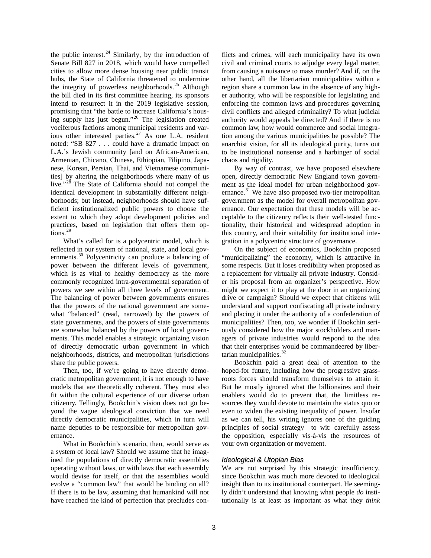the public interest. $^{24}$  $^{24}$  $^{24}$  Similarly, by the introduction of Senate Bill 827 in 2018, which would have compelled cities to allow more dense housing near public transit hubs, the State of California threatened to undermine the integrity of powerless neighborhoods.<sup>[25](#page-6-11)</sup> Although the bill died in its first committee hearing, its sponsors intend to resurrect it in the 2019 legislative session, promising that "the battle to increase California's housing supply has just begun."[26](#page-6-12) The legislation created vociferous factions among municipal residents and var-ious other interested parties.<sup>[27](#page-6-13)</sup> As one L.A. resident noted: "SB 827 . . . could have a dramatic impact on L.A.'s Jewish community [and on African-American, Armenian, Chicano, Chinese, Ethiopian, Filipino, Japanese, Korean, Persian, Thai, and Vietnamese communities] by altering the neighborhoods where many of us live."<sup>[28](#page-6-14)</sup> The State of California should not compel the identical development in substantially different neighborhoods; but instead, neighborhoods should have sufficient institutionalized public powers to choose the extent to which they adopt development policies and practices, based on legislation that offers them options. [29](#page-6-15)

What's called for is a polycentric model, which is reflected in our system of national, state, and local gov-ernments.<sup>[30](#page-6-16)</sup> Polycentricity can produce a balancing of power between the different levels of government, which is as vital to healthy democracy as the more commonly recognized intra-governmental separation of powers we see within all three levels of government. The balancing of power between governments ensures that the powers of the national government are somewhat "balanced" (read, narrowed) by the powers of state governments, and the powers of state governments are somewhat balanced by the powers of local governments. This model enables a strategic organizing vision of directly democratic urban government in which neighborhoods, districts, and metropolitan jurisdictions share the public powers.

Then, too, if we're going to have directly democratic metropolitan government, it is not enough to have models that are theoretically coherent. They must also fit within the cultural experience of our diverse urban citizenry. Tellingly, Bookchin's vision does not go beyond the vague ideological conviction that we need directly democratic municipalities, which in turn will name deputies to be responsible for metropolitan governance.

What in Bookchin's scenario, then, would serve as a system of local law? Should we assume that he imagined the populations of directly democratic assemblies operating without laws, or with laws that each assembly would devise for itself, or that the assemblies would evolve a "common law" that would be binding on all? If there is to be law, assuming that humankind will not have reached the kind of perfection that precludes conflicts and crimes, will each municipality have its own civil and criminal courts to adjudge every legal matter, from causing a nuisance to mass murder? And if, on the other hand, all the libertarian municipalities within a region share a common law in the absence of any higher authority, who will be responsible for legislating and enforcing the common laws and procedures governing civil conflicts and alleged criminality? To what judicial authority would appeals be directed? And if there is no common law, how would commerce and social integration among the various municipalities be possible? The anarchist vision, for all its ideological purity, turns out to be institutional nonsense and a harbinger of social chaos and rigidity.

By way of contrast, we have proposed elsewhere open, directly democratic New England town government as the ideal model for urban neighborhood gov-ernance.<sup>[31](#page-6-17)</sup> We have also proposed two-tier metropolitan government as the model for overall metropolitan governance. Our expectation that these models will be acceptable to the citizenry reflects their well-tested functionality, their historical and widespread adoption in this country, and their suitability for institutional integration in a polycentric structure of governance.

On the subject of economics, Bookchin proposed "municipalizing" the economy, which is attractive in some respects. But it loses credibility when proposed as a replacement for virtually all private industry. Consider his proposal from an organizer's perspective. How might we expect it to play at the door in an organizing drive or campaign? Should we expect that citizens will understand and support confiscating all private industry and placing it under the authority of a confederation of municipalities? Then, too, we wonder if Bookchin seriously considered how the major stockholders and managers of private industries would respond to the idea that their enterprises would be commandeered by liber-tarian municipalities.<sup>[32](#page-6-18)</sup>

Bookchin paid a great deal of attention to the hoped-for future, including how the progressive grassroots forces should transform themselves to attain it. But he mostly ignored what the billionaires and their enablers would do to prevent that, the limitless resources they would devote to maintain the status quo or even to widen the existing inequality of power. Insofar as we can tell, his writing ignores one of the guiding principles of social strategy—to wit: carefully assess the opposition, especially vis-à-vis the resources of your own organization or movement.

### *Ideological & Utopian Bias*

We are not surprised by this strategic insufficiency, since Bookchin was much more devoted to ideological insight than to its institutional counterpart. He seemingly didn't understand that knowing what people *do* institutionally is at least as important as what they *think*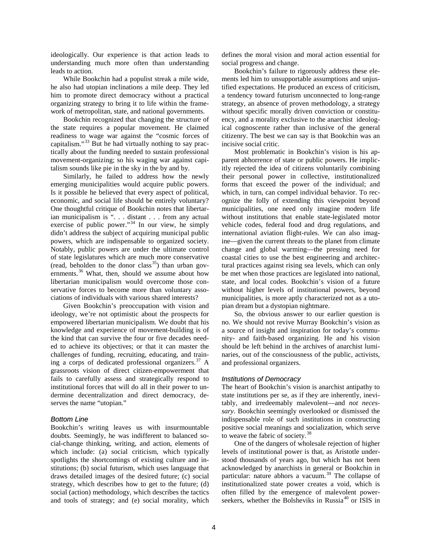ideologically. Our experience is that action leads to understanding much more often than understanding leads to action.

While Bookchin had a populist streak a mile wide, he also had utopian inclinations a mile deep. They led him to promote direct democracy without a practical organizing strategy to bring it to life within the framework of metropolitan, state, and national governments.

Bookchin recognized that changing the structure of the state requires a popular movement. He claimed readiness to wage war against the "cosmic forces of capitalism."[33](#page-6-2) But he had virtually nothing to say practically about the funding needed to sustain professional movement-organizing; so his waging war against capitalism sounds like pie in the sky in the by and by.

Similarly, he failed to address how the newly emerging municipalities would acquire public powers. Is it possible he believed that every aspect of political, economic, and social life should be entirely voluntary? One thoughtful critique of Bookchin notes that libertarian municipalism is ". . . distant . . . from any actual exercise of public power."<sup>[34](#page-6-19)</sup> In our view, he simply didn't address the subject of acquiring municipal public powers, which are indispensable to organized society. Notably, public powers are under the ultimate control of state legislatures which are much more conservative (read, beholden to the donor class<sup>35</sup>) than urban gov-ernments.<sup>[36](#page-6-4)</sup> What, then, should we assume about how libertarian municipalism would overcome those conservative forces to become more than voluntary associations of individuals with various shared interests?

Given Bookchin's preoccupation with vision and ideology, we're not optimistic about the prospects for empowered libertarian municipalism. We doubt that his knowledge and experience of movement-building is of the kind that can survive the four or five decades needed to achieve its objectives; or that it can master the challenges of funding, recruiting, educating, and training a corps of dedicated professional organizers.[37](#page-6-21) A grassroots vision of direct citizen-empowerment that fails to carefully assess and strategically respond to institutional forces that will do all in their power to undermine decentralization and direct democracy, deserves the name "utopian."

#### *Bottom Line*

Bookchin's writing leaves us with insurmountable doubts. Seemingly, he was indifferent to balanced social-change thinking, writing, and action, elements of which include: (a) social criticism, which typically spotlights the shortcomings of existing culture and institutions; (b) social futurism, which uses language that draws detailed images of the desired future; (c) social strategy, which describes how to get to the future; (d) social (action) methodology, which describes the tactics and tools of strategy; and (e) social morality, which defines the moral vision and moral action essential for social progress and change.

Bookchin's failure to rigorously address these elements led him to unsupportable assumptions and unjustified expectations. He produced an excess of criticism, a tendency toward futurism unconnected to long-range strategy, an absence of proven methodology, a strategy without specific morally driven conviction or constituency, and a morality exclusive to the anarchist ideological cognoscente rather than inclusive of the general citizenry. The best we can say is that Bookchin was an incisive social critic.

Most problematic in Bookchin's vision is his apparent abhorrence of state or public powers. He implicitly rejected the idea of citizens voluntarily combining their personal power in collective, institutionalized forms that exceed the power of the individual; and which, in turn, can compel individual behavior. To recognize the folly of extending this viewpoint beyond municipalities, one need only imagine modern life without institutions that enable state-legislated motor vehicle codes, federal food and drug regulations, and international aviation flight-rules. We can also imagine—given the current threats to the planet from climate change and global warming—the pressing need for coastal cities to use the best engineering and architectural practices against rising sea levels, which can only be met when those practices are legislated into national, state, and local codes. Bookchin's vision of a future without higher levels of institutional powers, beyond municipalities, is more aptly characterized not as a utopian dream but a dystopian nightmare.

So, the obvious answer to our earlier question is no. We should not revive Murray Bookchin's vision as a source of insight and inspiration for today's community- and faith-based organizing. He and his vision should be left behind in the archives of anarchist luminaries, out of the consciousness of the public, activists, and professional organizers.

### *Institutions of Democracy*

The heart of Bookchin's vision is anarchist antipathy to state institutions per se, as if they are inherently, inevitably, and irredeemably malevolent—and *not necessary*. Bookchin seemingly overlooked or dismissed the indispensable role of such institutions in constructing positive social meanings and socialization, which serve to weave the fabric of society.<sup>[38](#page-6-22)</sup>

One of the dangers of wholesale rejection of higher levels of institutional power is that, as Aristotle understood thousands of years ago, but which has not been acknowledged by anarchists in general or Bookchin in particular: nature abhors a vacuum.<sup>[39](#page-6-23)</sup> The collapse of institutionalized state power creates a void, which is often filled by the emergence of malevolent power-seekers, whether the Bolsheviks in Russia<sup>[40](#page-6-9)</sup> or ISIS in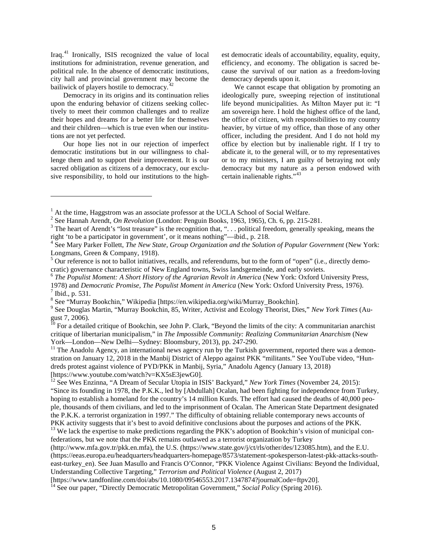Iraq.[41](#page-6-24) Ironically, ISIS recognized the value of local institutions for administration, revenue generation, and political rule. In the absence of democratic institutions, city hall and provincial government may become the bailiwick of players hostile to democracy.<sup>[42](#page-6-25)</sup>

Democracy in its origins and its continuation relies upon the enduring behavior of citizens seeking collectively to meet their common challenges and to realize their hopes and dreams for a better life for themselves and their children—which is true even when our institutions are not yet perfected.

Our hope lies not in our rejection of imperfect democratic institutions but in our willingness to challenge them and to support their improvement. It is our sacred obligation as citizens of a democracy, our exclusive responsibility, to hold our institutions to the highest democratic ideals of accountability, equality, equity, efficiency, and economy. The obligation is sacred because the survival of our nation as a freedom-loving democracy depends upon it.

We cannot escape that obligation by promoting an ideologically pure, sweeping rejection of institutional life beyond municipalities. As Milton Mayer put it: "I am sovereign here. I hold the highest office of the land, the office of citizen, with responsibilities to my country heavier, by virtue of my office, than those of any other officer, including the president. And I do not hold my office by election but by inalienable right. If I try to abdicate it, to the general will, or to my representatives or to my ministers, I am guilty of betraying not only democracy but my nature as a person endowed with certain inalienable rights."<sup>[43](#page-6-26)</sup>

 $\overline{a}$ 

<span id="page-4-2"></span>

<span id="page-4-1"></span><span id="page-4-0"></span><sup>&</sup>lt;sup>1</sup> At the time, Haggstrom was an associate professor at the UCLA School of Social Welfare.<br><sup>2</sup> See Hannah Arendt, *On Revolution* (London: Penguin Books, 1963, 1965), Ch. 6, pp. 215-281.<br><sup>3</sup> The heart of Arendt's "lost t

<span id="page-4-3"></span><sup>&</sup>lt;sup>4</sup> See Mary Parker Follett, *The New State, Group Organization and the Solution of Popular Government* (New York: Longmans, Green & Company, 1918).

<span id="page-4-4"></span> $<sup>5</sup>$  Our reference is not to ballot initiatives, recalls, and referendums, but to the form of "open" (i.e., directly demo-</sup> cratic) governance characteristic of New England towns, Swiss landsgemeinde, and early soviets. <sup>6</sup> *The Populist Moment: A Short History of the Agrarian Revolt in America* (New York: Oxford University Press,

<span id="page-4-5"></span>

<span id="page-4-6"></span><sup>1978)</sup> and *Democratic Promise, The Populist Moment in America* (New York: Oxford University Press, 1976).<br><sup>7</sup> Ibid., p. 531.<br><sup>8</sup> See "Murray Bookchin," Wikipedia [https://en.wikipedia.org/wiki/Murray\_Bookchin].

<span id="page-4-8"></span><span id="page-4-7"></span><sup>&</sup>lt;sup>9</sup> See Douglas Martin, "Murray Bookchin, 85, Writer, Activist and Ecology Theorist, Dies," *New York Times* (August 7, 2006).

<span id="page-4-9"></span><sup>&</sup>lt;sup>10</sup> For a detailed critique of Bookchin, see John P. Clark, "Beyond the limits of the city: A communitarian anarchist critique of libertarian municipalism," in *The Impossible Community: Realizing Communitarian Anarchism* (New

 $^{11}$  The Anadolu Agency, an international news agency run by the Turkish government, reported there was a demonstration on January 12, 2018 in the Manbij District of Aleppo against PKK "militants." See YouTube video, "Hundreds protest against violence of PYD/PKK in Manbij, Syria," Anadolu Agency (January 13, 2018) [https://www.youtube.com/watch?v=KX5sE3jewG0]. <sup>12</sup> See Wes Enzinna, "A Dream of Secular Utopia in ISIS' Backyard," *New York Times* (November 24, 2015):

<sup>&</sup>quot;Since its founding in 1978, the P.K.K., led by [Abdullah] Ocalan, had been fighting for independence from Turkey, hoping to establish a homeland for the country's 14 million Kurds. The effort had caused the deaths of 40,000 people, thousands of them civilians, and led to the imprisonment of Ocalan. The American State Department designated the P.K.K. a terrorist organization in 1997." The difficulty of obtaining reliable contemporary news accounts of PKK activity suggests that it's best to avoid definitive conclusions about the purposes and actions of the PK

 $^{13}$  We lack the expertise to make predictions regarding the PKK's adoption of Bookchin's vision of municipal confederations, but we note that the PKK remains outlawed as a terrorist organization by Turkey

<sup>(</sup>http://www.mfa.gov.tr/pkk.en.mfa), the U.S. (https://www.state.gov/j/ct/rls/other/des/123085.htm), and the E.U. (https://eeas.europa.eu/headquarters/headquarters-homepage/8573/statement-spokesperson-latest-pkk-attacks-southeast-turkey\_en). See Juan Masullo and Francis O'Connor, "PKK Violence Against Civilians: Beyond the Individual, Understanding Collective Targeting," *Terrorism and Political Violence* (August 2, 2017)

<sup>[</sup>https://www.tandfonline.com/doi/abs/10.1080/09546553.2017.1347874?journalCode=ftpv20]. <sup>14</sup> See our paper, "Directly Democratic Metropolitan Government," *Social Policy* (Spring 2016).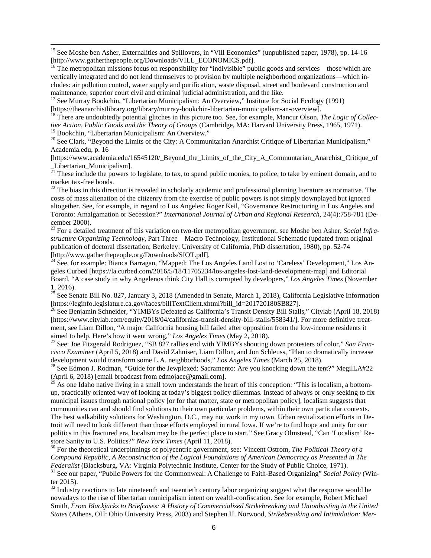<sup>15</sup> See Moshe ben Asher, Externalities and Spillovers, in "Vill Economics" (unpublished paper, 1978), pp. 14-16 [http://www.gatherthepeople.org/Downloads/VILL\_ECONOMICS.pdf].<br><sup>16</sup> The metropolitan missions focus on responsibility for "indivisible" public goods and services—those which are

vertically integrated and do not lend themselves to provision by multiple neighborhood organizations—which includes: air pollution control, water supply and purification, waste disposal, street and boulevard construction and maintenance, superior court civil and criminal judicial administration, and the like.

<sup>17</sup> See Murray Bookchin, "Libertarian Municipalism: An Overview," Institute for Social Ecology (1991) [\[https://theanarchistlibrary.org/library/murray-bookchin-libertarian-municipalism-an-overview\]](https://theanarchistlibrary.org/library/murray-bookchin-libertarian-municipalism-an-overview). <sup>18</sup> There are undoubtedly potential glitches in this picture too. See, for example, Mancur Olson, *The Logic of Collec-*

*tive Action, Public Goods and the Theory of Groups* (Cambridge, MA: Harvard University Press, 1965, 1971).

<sup>20</sup> See Clark, "Beyond the Limits of the City: A Communitarian Anarchist Critique of Libertarian Municipalism," Academia.edu, p. 16

[https://www.academia.edu/16545120/ Beyond the Limits of the City A Communtarian Anarchist Critique of Libertarian\_Municipalism].<br><sup>21</sup> These include the powers to legislate, to tax, to spend public monies, to police, to take by eminent domain, and to

market tax-free bonds.<br><sup>22</sup> The bias in this direction is revealed in scholarly academic and professional planning literature as normative. The

costs of mass alienation of the citizenry from the exercise of public powers is not simply downplayed but ignored altogether. See, for example, in regard to Los Angeles: Roger Keil, "Governance Restructuring in Los Angeles and Toronto: Amalgamation or Secession?" *International Journal of Urban and Regional Research*, 24(4):758-781 (December 2000).

<sup>23</sup> For a detailed treatment of this variation on two-tier metropolitan government, see Moshe ben Asher, *Social Infrastructure Organizing Technology*, Part Three—Macro Technology, Institutional Schematic (updated from original publication of doctoral dissertation; Berkeley: University of California, PhD dissertation, 1980), pp. 52-74 [http://www.gatherthepeople.org/Downloads/SIOT.pdf]. <sup>24</sup> See, for example: Bianca Barragan, "Mapped: The Los Angeles Land Lost to 'Careless' Development," Los An-

geles Curbed [https://la.curbed.com/2016/5/18/11705234/los-angeles-lost-land-development-map] and Editorial Board, "A case study in why Angelenos think City Hall is corrupted by developers," *Los Angeles Times* (November 1, 2016).

<sup>25</sup> See Senate Bill No. 827, January 3, 2018 (Amended in Senate, March 1, 2018), California Legislative Information [https://leginfo.legislature.ca.gov/faces/billTextClient.xhtml?bill\_id=201720180SB827]. <sup>26</sup> See Benjamin Schneider, "YIMBYs Defeated as California's Transit Density Bill Stalls," Citylab (April 18, 2018)

[https://www.citylab.com/equity/2018/04/californias-transit-density-bill-stalls/558341/]. For more definitive treatment, see Liam Dillon, "A major California housing bill failed after opposition from the low-income residents it aimed to help. Here's how it went wrong," *Los Angeles Times* (May 2, 2018).<br><sup>27</sup> See: Joe Fitzgerald Rodriguez, "SB 827 rallies end with YIMBYs shouting down protesters of color," *San Fran-*

<span id="page-5-0"></span>*cisco Examiner* (April 5, 2018) and David Zahniser, Liam Dillon, and Jon Schleuss, "Plan to dramatically increase development would transform some L.A. neighborhoods," Los Angeles Times (March 25, 2018).

<sup>28</sup> See Edmon J. Rodman, "Guide for the Jewplexed: Sacramento: Are you knocking down the tent?" MegilLA#22 (April 6, 2018) [email broadcast from edmojace@gmail.com].

<span id="page-5-1"></span> $^{29}$  As one Idaho native living in a small town understands the heart of this conception: "This is localism, a bottomup, practically oriented way of looking at today's biggest policy dilemmas. Instead of always or only seeking to fix municipal issues through national policy [or for that matter, state or metropolitan policy], localism suggests that communities can and should find solutions to their own particular problems, within their own particular contexts. The best walkability solutions for Washington, D.C., may not work in my town. Urban revitalization efforts in Detroit will need to look different than those efforts employed in rural Iowa. If we're to find hope and unity for our politics in this fractured era, localism may be the perfect place to start." See Gracy Olmstead, "Can 'Localism' Restore Sanity to U.S. Politics?" New York Times (April 11, 2018).

<span id="page-5-2"></span><sup>30</sup> For the theoretical underpinnings of polycentric government, see: Vincent Ostrom, *The Political Theory of a Compound Republic, A Reconstruction of the Logical Foundations of American Democracy as Presented in The*  <sup>31</sup> See our paper, "Public Powers for the Commonweal: A Challenge to Faith-Based Organizing" Social Policy (Winter 2015).

 $32$  Industry reactions to late nineteenth and twentieth century labor organizing suggest what the response would be nowadays to the rise of libertarian municipalism intent on wealth-confiscation. See for example, Robert Michael Smith, *From Blackjacks to Briefcases: A History of Commercialized Strikebreaking and Unionbusting in the United States* (Athens, OH: Ohio University Press, 2003) and Stephen H. Norwood, *Strikebreaking and Intimidation: Mer-*